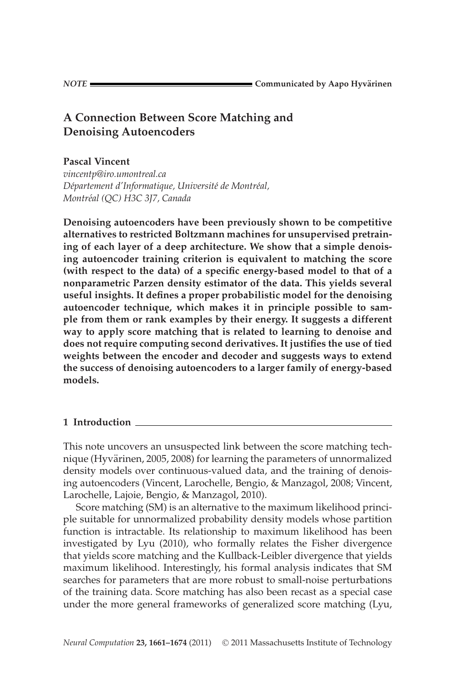# **A Connection Between Score Matching and Denoising Autoencoders**

**Pascal Vincent**

*vincentp@iro.umontreal.ca Departement d'Informatique, Universit ´ e de Montr ´ eal, ´ Montreal (QC) H3C 3J7, Canada ´*

**Denoising autoencoders have been previously shown to be competitive alternatives to restricted Boltzmann machines for unsupervised pretraining of each layer of a deep architecture. We show that a simple denoising autoencoder training criterion is equivalent to matching the score (with respect to the data) of a specific energy-based model to that of a nonparametric Parzen density estimator of the data. This yields several useful insights. It defines a proper probabilistic model for the denoising autoencoder technique, which makes it in principle possible to sample from them or rank examples by their energy. It suggests a different way to apply score matching that is related to learning to denoise and does not require computing second derivatives. It justifies the use of tied weights between the encoder and decoder and suggests ways to extend the success of denoising autoencoders to a larger family of energy-based models.**

## **1 Introduction**

This note uncovers an unsuspected link between the score matching technique (Hyvärinen, 2005, 2008) for learning the parameters of unnormalized density models over continuous-valued data, and the training of denoising autoencoders (Vincent, Larochelle, Bengio, & Manzagol, 2008; Vincent, Larochelle, Lajoie, Bengio, & Manzagol, 2010).

Score matching (SM) is an alternative to the maximum likelihood principle suitable for unnormalized probability density models whose partition function is intractable. Its relationship to maximum likelihood has been investigated by Lyu (2010), who formally relates the Fisher divergence that yields score matching and the Kullback-Leibler divergence that yields maximum likelihood. Interestingly, his formal analysis indicates that SM searches for parameters that are more robust to small-noise perturbations of the training data. Score matching has also been recast as a special case under the more general frameworks of generalized score matching (Lyu,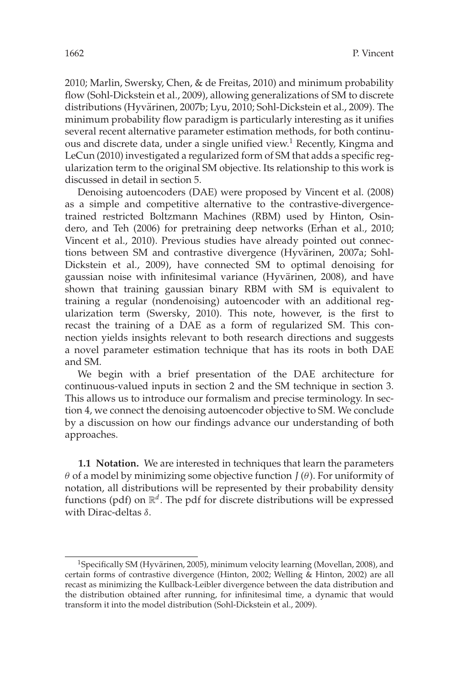2010; Marlin, Swersky, Chen, & de Freitas, 2010) and minimum probability flow (Sohl-Dickstein et al., 2009), allowing generalizations of SM to discrete distributions (Hyvärinen, 2007b; Lyu, 2010; Sohl-Dickstein et al., 2009). The minimum probability flow paradigm is particularly interesting as it unifies several recent alternative parameter estimation methods, for both continuous and discrete data, under a single unified view.<sup>1</sup> Recently, Kingma and LeCun (2010) investigated a regularized form of SM that adds a specific regularization term to the original SM objective. Its relationship to this work is discussed in detail in section 5.

Denoising autoencoders (DAE) were proposed by Vincent et al. (2008) as a simple and competitive alternative to the contrastive-divergencetrained restricted Boltzmann Machines (RBM) used by Hinton, Osindero, and Teh (2006) for pretraining deep networks (Erhan et al., 2010; Vincent et al., 2010). Previous studies have already pointed out connections between SM and contrastive divergence (Hyvärinen, 2007a; Sohl-Dickstein et al., 2009), have connected SM to optimal denoising for gaussian noise with infinitesimal variance (Hyvärinen, 2008), and have shown that training gaussian binary RBM with SM is equivalent to training a regular (nondenoising) autoencoder with an additional regularization term (Swersky, 2010). This note, however, is the first to recast the training of a DAE as a form of regularized SM. This connection yields insights relevant to both research directions and suggests a novel parameter estimation technique that has its roots in both DAE and SM.

We begin with a brief presentation of the DAE architecture for continuous-valued inputs in section 2 and the SM technique in section 3. This allows us to introduce our formalism and precise terminology. In section 4, we connect the denoising autoencoder objective to SM. We conclude by a discussion on how our findings advance our understanding of both approaches.

**1.1 Notation.** We are interested in techniques that learn the parameters θ of a model by minimizing some objective function *J* (θ). For uniformity of notation, all distributions will be represented by their probability density functions (pdf) on  $\mathbb{R}^d$ . The pdf for discrete distributions will be expressed with Dirac-deltas δ.

<sup>&</sup>lt;sup>1</sup>Specifically SM (Hyvärinen, 2005), minimum velocity learning (Movellan, 2008), and certain forms of contrastive divergence (Hinton, 2002; Welling & Hinton, 2002) are all recast as minimizing the Kullback-Leibler divergence between the data distribution and the distribution obtained after running, for infinitesimal time, a dynamic that would transform it into the model distribution (Sohl-Dickstein et al., 2009).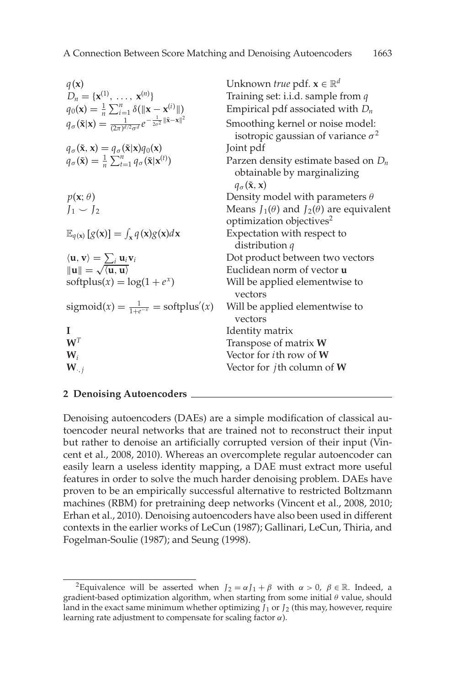| $q(\mathbf{x})$                                                                                                                         | Unknown <i>true</i> pdf. $\mathbf{x} \in \mathbb{R}^d$                                                                |
|-----------------------------------------------------------------------------------------------------------------------------------------|-----------------------------------------------------------------------------------------------------------------------|
| $D_n = \{x^{(1)}, \ldots, x^{(n)}\}$                                                                                                    | Training set: i.i.d. sample from $q$                                                                                  |
| $q_0(\mathbf{x}) = \frac{1}{n} \sum_{i=1}^n \delta(\ \mathbf{x} - \mathbf{x}^{(i)}\ )$                                                  | Empirical pdf associated with $D_n$                                                                                   |
| $q_{\sigma}(\tilde{\mathbf{x}} \mathbf{x}) = \frac{1}{(2\pi)^{d/2}\sigma^d}e^{-\frac{1}{2\sigma^2}\ \tilde{\mathbf{x}}-\mathbf{x}\ ^2}$ | Smoothing kernel or noise model:<br>isotropic gaussian of variance $\sigma^2$                                         |
| $q_{\sigma}(\tilde{\mathbf{x}}, \mathbf{x}) = q_{\sigma}(\tilde{\mathbf{x}} \mathbf{x})q_0(\mathbf{x})$                                 | Joint pdf                                                                                                             |
| $q_{\sigma}(\tilde{\mathbf{x}}) = \frac{1}{n} \sum_{t=1}^{n} q_{\sigma}(\tilde{\mathbf{x}}   \mathbf{x}^{(t)})$                         | Parzen density estimate based on $D_n$<br>obtainable by marginalizing<br>$q_{\sigma}(\tilde{\mathbf{x}}, \mathbf{x})$ |
| $p(\mathbf{x}; \theta)$                                                                                                                 | Density model with parameters $\theta$                                                                                |
| $J_1 \smile J_2$                                                                                                                        | Means $J_1(\theta)$ and $J_2(\theta)$ are equivalent                                                                  |
|                                                                                                                                         | optimization objectives <sup>2</sup>                                                                                  |
| $\mathbb{E}_{q(\mathbf{x})}[g(\mathbf{x})] = \int_{\mathbf{x}} q(\mathbf{x})g(\mathbf{x})d\mathbf{x}$                                   | Expectation with respect to<br>distribution $q$                                                                       |
| $\langle \mathbf{u}, \mathbf{v} \rangle = \sum_i \mathbf{u}_i \mathbf{v}_i$                                                             | Dot product between two vectors                                                                                       |
| $  u   = \sqrt{\langle u, u \rangle}$                                                                                                   | Euclidean norm of vector <b>u</b>                                                                                     |
| softplus(x) = $\log(1 + e^x)$                                                                                                           | Will be applied elementwise to<br>vectors                                                                             |
| sigmoid(x) = $\frac{1}{1+e^{-x}}$ = softplus'(x)                                                                                        | Will be applied elementwise to<br>vectors                                                                             |
| I                                                                                                                                       | Identity matrix                                                                                                       |
| $\mathbf{W}^T$                                                                                                                          | Transpose of matrix W                                                                                                 |
| $\mathbf{W}_i$                                                                                                                          | Vector for <i>i</i> th row of W                                                                                       |
| $\mathbf{W}_{\cdot,j}$                                                                                                                  | Vector for <i>j</i> th column of $W$                                                                                  |
|                                                                                                                                         |                                                                                                                       |

#### **2 Denoising Autoencoders**

Denoising autoencoders (DAEs) are a simple modification of classical autoencoder neural networks that are trained not to reconstruct their input but rather to denoise an artificially corrupted version of their input (Vincent et al., 2008, 2010). Whereas an overcomplete regular autoencoder can easily learn a useless identity mapping, a DAE must extract more useful features in order to solve the much harder denoising problem. DAEs have proven to be an empirically successful alternative to restricted Boltzmann machines (RBM) for pretraining deep networks (Vincent et al., 2008, 2010; Erhan et al., 2010). Denoising autoencoders have also been used in different contexts in the earlier works of LeCun (1987); Gallinari, LeCun, Thiria, and Fogelman-Soulie (1987); and Seung (1998).

<sup>&</sup>lt;sup>2</sup>Equivalence will be asserted when  $J_2 = \alpha J_1 + \beta$  with  $\alpha > 0$ ,  $\beta \in \mathbb{R}$ . Indeed, a gradient-based optimization algorithm, when starting from some initial  $\theta$  value, should land in the exact same minimum whether optimizing  $J_1$  or  $J_2$  (this may, however, require learning rate adjustment to compensate for scaling factor  $\alpha$ ).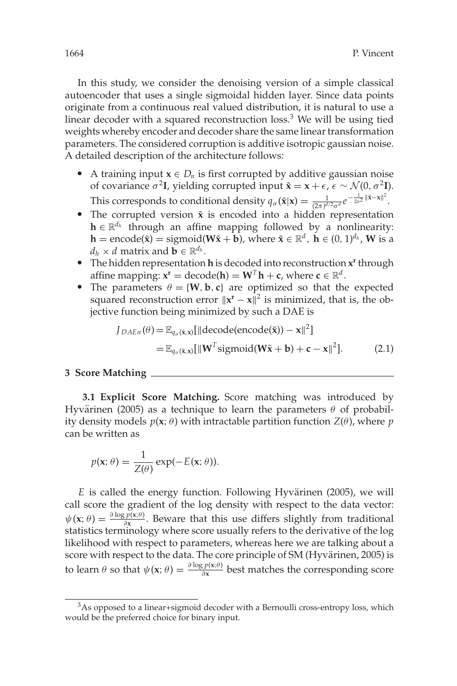In this study, we consider the denoising version of a simple classical autoencoder that uses a single sigmoidal hidden layer. Since data points originate from a continuous real valued distribution, it is natural to use a linear decoder with a squared reconstruction loss.<sup>3</sup> We will be using tied weights whereby encoder and decoder share the same linear transformation parameters. The considered corruption is additive isotropic gaussian noise. A detailed description of the architecture follows:

- A training input  $\mathbf{x} \in D_n$  is first corrupted by additive gaussian noise of covariance σ<sup>2</sup>**I**, yielding corrupted input **x** = **x** +  $\epsilon$ ,  $\epsilon$  ∼  $\mathcal{N}(0, \sigma^2$ **I**). This corresponds to conditional density  $q_{\sigma}(\tilde{\mathbf{x}}|\mathbf{x}) = \frac{1}{(2\pi)^{d/2}\sigma^d}e^{-\frac{1}{2\sigma^2}||\tilde{\mathbf{x}}-\mathbf{x}||^2}$ .
- The corrupted version  $\tilde{x}$  is encoded into a hidden representation **h** ∈  $\mathbb{R}^{d_h}$  through an affine mapping followed by a nonlinearity:  $\mathbf{h} = \text{encode}(\tilde{\mathbf{x}}) = \text{sigmoid}(\mathbf{W}\tilde{\mathbf{x}} + \mathbf{b})$ , where  $\tilde{\mathbf{x}} \in \mathbb{R}^d$ ,  $\mathbf{h} \in (0, 1)^{d_h}$ , **W** is a  $d_h \times d$  matrix and  $\mathbf{b} \in \mathbb{R}^{d_h}$ .
- The hidden representation **h** is decoded into reconstruction **x r** through affine mapping:  $\mathbf{x}^{\mathbf{r}} = \text{decode}(\mathbf{h}) = \mathbf{W}^T \mathbf{h} + \mathbf{c}$ , where  $\mathbf{c} \in \mathbb{R}^d$ .
- The parameters  $\theta = \{W, b, c\}$  are optimized so that the expected squared reconstruction error  $||x^{r} - x||^{2}$  is minimized, that is, the objective function being minimized by such a DAE is

$$
J_{DAE\sigma}(\theta) = \mathbb{E}_{q_{\sigma}(\tilde{\mathbf{x}}, \mathbf{x})}[\|\text{decode}(\text{encode}(\tilde{\mathbf{x}})) - \mathbf{x}\|^2]
$$
  
= 
$$
\mathbb{E}_{q_{\sigma}(\tilde{\mathbf{x}}, \mathbf{x})}[\|\mathbf{W}^T \text{sigmoid}(\mathbf{W}\tilde{\mathbf{x}} + \mathbf{b}) + \mathbf{c} - \mathbf{x}\|^2].
$$
 (2.1)

### **3 Score Matching**

**3.1 Explicit Score Matching.** Score matching was introduced by Hyvärinen (2005) as a technique to learn the parameters  $\theta$  of probability density models *p*(**x**; θ) with intractable partition function *Z*(θ), where *p* can be written as

$$
p(\mathbf{x}; \theta) = \frac{1}{Z(\theta)} \exp(-E(\mathbf{x}; \theta)).
$$

*E* is called the energy function. Following Hyvärinen (2005), we will call score the gradient of the log density with respect to the data vector:  $\psi$ (**x**;  $\theta$ ) =  $\frac{\partial \log p(x;\theta)}{\partial x}$ . Beware that this use differs slightly from traditional statistics terminology where score usually refers to the derivative of the log likelihood with respect to parameters, whereas here we are talking about a score with respect to the data. The core principle of SM (Hyvärinen, 2005) is to learn  $\theta$  so that  $\psi$ (**x**;  $\theta$ ) =  $\frac{\partial \log p(x;\theta)}{\partial x}$  best matches the corresponding score

<sup>&</sup>lt;sup>3</sup>As opposed to a linear+sigmoid decoder with a Bernoulli cross-entropy loss, which would be the preferred choice for binary input.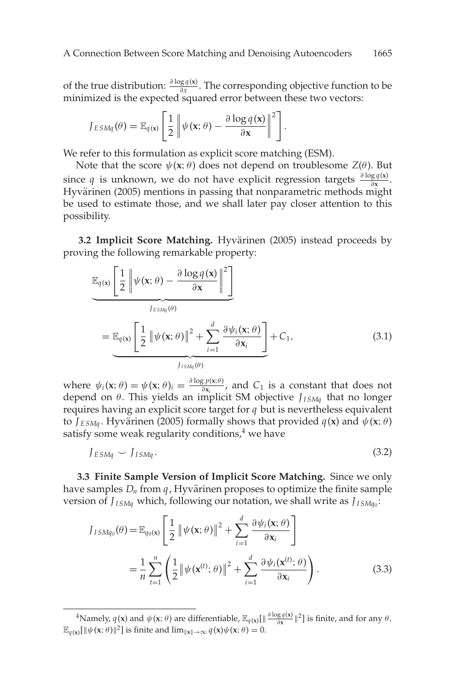of the true distribution:  $\frac{\partial \log q(x)}{\partial x}$ . The corresponding objective function to be minimized is the expected squared error between these two vectors:

$$
J_{ESMq}(\theta) = \mathbb{E}_{q(\mathbf{x})} \left[ \frac{1}{2} \left\| \psi(\mathbf{x}; \theta) - \frac{\partial \log q(\mathbf{x})}{\partial \mathbf{x}} \right\|^2 \right].
$$

We refer to this formulation as explicit score matching (ESM).

Note that the score  $\psi$ (**x**;  $\theta$ ) does not depend on troublesome  $Z(\theta)$ . But since *q* is unknown, we do not have explicit regression targets  $\frac{\partial \log q(x)}{\partial x}$ . Hyvärinen (2005) mentions in passing that nonparametric methods might be used to estimate those, and we shall later pay closer attention to this possibility.

**3.2 Implicit Score Matching.** Hyvärinen (2005) instead proceeds by proving the following remarkable property:

$$
\mathbb{E}_{q(\mathbf{x})} \left[ \frac{1}{2} \left\| \psi(\mathbf{x}; \theta) - \frac{\partial \log q(\mathbf{x})}{\partial \mathbf{x}} \right\|^2 \right]
$$
\n
$$
= \mathbb{E}_{q(\mathbf{x})} \left[ \frac{1}{2} \left\| \psi(\mathbf{x}; \theta) \right\|^2 + \sum_{i=1}^d \frac{\partial \psi_i(\mathbf{x}; \theta)}{\partial \mathbf{x}_i} \right] + C_1,
$$
\n(3.1)

where  $\psi_i(\mathbf{x}; \theta) = \psi(\mathbf{x}; \theta)_i = \frac{\partial \log p(\mathbf{x}; \theta)}{\partial \mathbf{x}_i}$ , and  $C_1$  is a constant that does not depend on θ. This yields an implicit SM objective *JI SMq* that no longer requires having an explicit score target for *q* but is nevertheless equivalent to  $J_{ESMq}$ . Hyvärinen (2005) formally shows that provided  $q(\mathbf{x})$  and  $\psi(\mathbf{x}; \theta)$ satisfy some weak regularity conditions, $4$  we have

$$
J_{ESMq} \sim J_{ISMq}.
$$
\n(3.2)

**3.3 Finite Sample Version of Implicit Score Matching.** Since we only have samples  $D_n$  from  $q$ , Hyvärinen proposes to optimize the finite sample version of *JI SMq* which, following our notation, we shall write as *JI SMq*<sup>0</sup> :

$$
J_{ISMq_0}(\theta) = \mathbb{E}_{q_0(\mathbf{x})} \left[ \frac{1}{2} \left\| \psi(\mathbf{x}; \theta) \right\|^2 + \sum_{i=1}^d \frac{\partial \psi_i(\mathbf{x}; \theta)}{\partial \mathbf{x}_i} \right]
$$
  
= 
$$
\frac{1}{n} \sum_{t=1}^n \left( \frac{1}{2} \left\| \psi(\mathbf{x}^{(t)}; \theta) \right\|^2 + \sum_{i=1}^d \frac{\partial \psi_i(\mathbf{x}^{(t)}; \theta)}{\partial \mathbf{x}_i} \right).
$$
(3.3)

<sup>&</sup>lt;sup>4</sup>Namely,  $q(\mathbf{x})$  and  $\psi(\mathbf{x}; \theta)$  are differentiable,  $\mathbb{E}_{q(\mathbf{x})}[\|\frac{\partial \log q(\mathbf{x})}{\partial \mathbf{x}}\|^2]$  is finite, and for any  $\theta$ ,  $\mathbb{E}_{q(\mathbf{x})}[\|\psi(\mathbf{x};\theta)\|^2]$  is finite and  $\lim_{\|\mathbf{x}\|\to\infty} q(\mathbf{x})\psi(\mathbf{x};\theta) = 0.$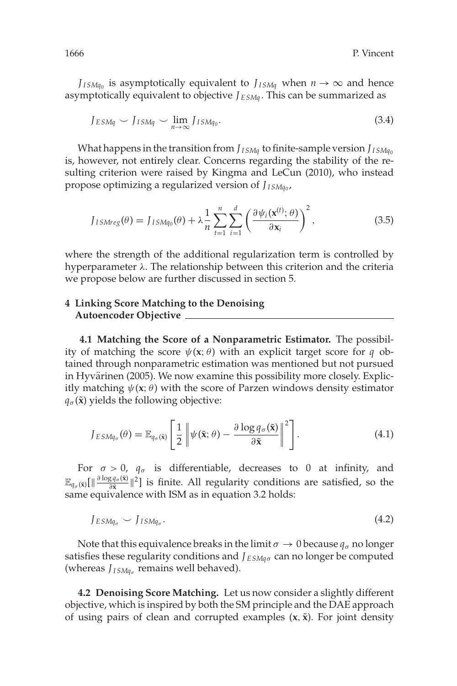*J*<sub>*ISMq*<sup>0</sup></sub> is asymptotically equivalent to *J*<sub>*ISMq*</sub> when  $n \to \infty$  and hence asymptotically equivalent to objective *J E SMq* . This can be summarized as

$$
J_{ESMq} \smile J_{ISMq} \smile \lim_{n \to \infty} J_{ISMq_0}.
$$
\n(3.4)

What happens in the transition from *J*<sub>*ISMq*</sub></sub> to finite-sample version *J*<sub>*ISMq*0</sub> is, however, not entirely clear. Concerns regarding the stability of the resulting criterion were raised by Kingma and LeCun (2010), who instead propose optimizing a regularized version of *JI SMq*<sup>0</sup> ,

$$
J_{ISMreg}(\theta) = J_{ISMq_0}(\theta) + \lambda \frac{1}{n} \sum_{t=1}^{n} \sum_{i=1}^{d} \left( \frac{\partial \psi_i(\mathbf{x}^{(t)}; \theta)}{\partial \mathbf{x}_i} \right)^2, \tag{3.5}
$$

where the strength of the additional regularization term is controlled by hyperparameter λ. The relationship between this criterion and the criteria we propose below are further discussed in section 5.

#### **4 Linking Score Matching to the Denoising Autoencoder Objective**

**4.1 Matching the Score of a Nonparametric Estimator.** The possibility of matching the score  $\psi$ (**x**;  $\theta$ ) with an explicit target score for *q* obtained through nonparametric estimation was mentioned but not pursued in Hyvärinen (2005). We now examine this possibility more closely. Explicitly matching  $\psi$ (**x**;  $\theta$ ) with the score of Parzen windows density estimator  $q_{\sigma}(\tilde{\mathbf{x}})$  yields the following objective:

$$
J_{ESMq_{\sigma}}(\theta) = \mathbb{E}_{q_{\sigma}(\tilde{\mathbf{x}})} \left[ \frac{1}{2} \left\| \psi(\tilde{\mathbf{x}}; \theta) - \frac{\partial \log q_{\sigma}(\tilde{\mathbf{x}})}{\partial \tilde{\mathbf{x}}} \right\|^2 \right].
$$
 (4.1)

For  $\sigma > 0$ ,  $q_{\sigma}$  is differentiable, decreases to 0 at infinity, and  $\mathbb{E}_{q_{\sigma}(\bar{\mathbf{x}})}[\|\frac{\partial \log q_{\sigma}(\bar{\mathbf{x}})}{\partial \bar{\mathbf{x}}}]|^{2}]$  is finite. All regularity conditions are satisfied, so the same equivalence with ISM as in equation 3.2 holds:

$$
J_{ESMq_{\sigma}} \smile J_{ISMq_{\sigma}}.\tag{4.2}
$$

Note that this equivalence breaks in the limit  $\sigma \to 0$  because  $q_{\sigma}$  no longer satisfies these regularity conditions and  $J_{ESMq\sigma}$  can no longer be computed (whereas  $J_{ISMq_{\sigma}}$  remains well behaved).

**4.2 Denoising Score Matching.** Let us now consider a slightly different objective, which is inspired by both the SM principle and the DAE approach of using pairs of clean and corrupted examples  $(x, \tilde{x})$ . For joint density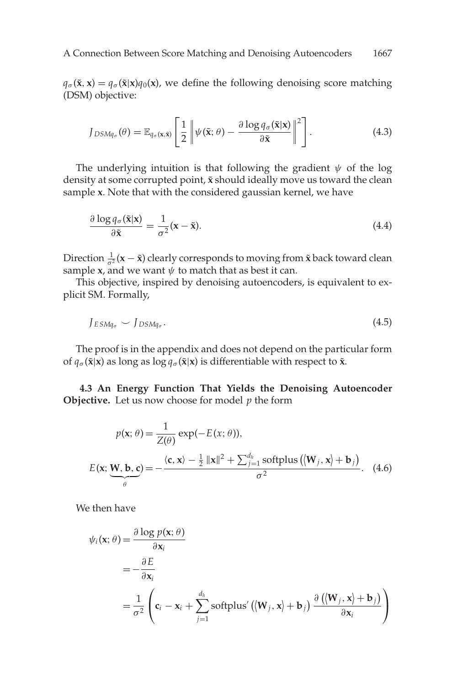$q_{\sigma}(\tilde{\mathbf{x}}, \mathbf{x}) = q_{\sigma}(\tilde{\mathbf{x}}|\mathbf{x})q_0(\mathbf{x})$ , we define the following denoising score matching (DSM) objective:

$$
J_{DSMq_{\sigma}}(\theta) = \mathbb{E}_{q_{\sigma}(\mathbf{x}, \tilde{\mathbf{x}})} \left[ \frac{1}{2} \left\| \psi(\tilde{\mathbf{x}}; \theta) - \frac{\partial \log q_{\sigma}(\tilde{\mathbf{x}}|\mathbf{x})}{\partial \tilde{\mathbf{x}}} \right\|^2 \right].
$$
 (4.3)

The underlying intuition is that following the gradient  $\psi$  of the log density at some corrupted point,  $\tilde{x}$  should ideally move us toward the clean sample **x**. Note that with the considered gaussian kernel, we have

$$
\frac{\partial \log q_{\sigma}(\tilde{\mathbf{x}}|\mathbf{x})}{\partial \tilde{\mathbf{x}}} = \frac{1}{\sigma^2}(\mathbf{x} - \tilde{\mathbf{x}}).
$$
(4.4)

Direction  $\frac{1}{\sigma^2}(\mathbf{x} - \tilde{\mathbf{x}})$  clearly corresponds to moving from  $\tilde{\mathbf{x}}$  back toward clean sample **x**, and we want  $\psi$  to match that as best it can.

This objective, inspired by denoising autoencoders, is equivalent to explicit SM. Formally,

$$
J_{ESMq_{\sigma}} \smile J_{DSMq_{\sigma}}.\tag{4.5}
$$

The proof is in the appendix and does not depend on the particular form of  $q_{\sigma}(\tilde{\mathbf{x}}|\mathbf{x})$  as long as log  $q_{\sigma}(\tilde{\mathbf{x}}|\mathbf{x})$  is differentiable with respect to  $\tilde{\mathbf{x}}$ .

**4.3 An Energy Function That Yields the Denoising Autoencoder Objective.** Let us now choose for model *p* the form

$$
p(\mathbf{x}; \theta) = \frac{1}{Z(\theta)} \exp(-E(\mathbf{x}; \theta)),
$$
  
\n
$$
E(\mathbf{x}; \underbrace{\mathbf{W}, \mathbf{b}, \mathbf{c}}_{\theta}) = -\frac{\langle \mathbf{c}, \mathbf{x} \rangle - \frac{1}{2} ||\mathbf{x}||^2 + \sum_{j=1}^{d_h} \text{softplus} \left( \langle \mathbf{W}_j, \mathbf{x} \rangle + \mathbf{b}_j \right)}{\sigma^2}.
$$
 (4.6)

We then have

$$
\psi_i(\mathbf{x}; \theta) = \frac{\partial \log p(\mathbf{x}; \theta)}{\partial \mathbf{x}_i}
$$
  
=  $-\frac{\partial E}{\partial \mathbf{x}_i}$   
=  $\frac{1}{\sigma^2} \left( \mathbf{c}_i - \mathbf{x}_i + \sum_{j=1}^{d_h} \text{softplus}' ((\mathbf{W}_j, \mathbf{x}) + \mathbf{b}_j) \frac{\partial ((\mathbf{W}_j, \mathbf{x}) + \mathbf{b}_j)}{\partial \mathbf{x}_i} \right)$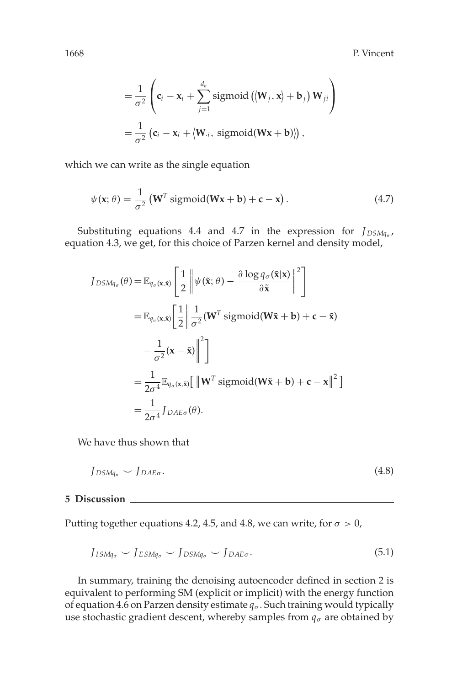1668 P. Vincent

$$
= \frac{1}{\sigma^2} \left( \mathbf{c}_i - \mathbf{x}_i + \sum_{j=1}^{d_h} \text{sigmoid} \left( \langle \mathbf{W}_j, \mathbf{x} \rangle + \mathbf{b}_j \right) \mathbf{W}_{ji} \right)
$$
  

$$
= \frac{1}{\sigma^2} \left( \mathbf{c}_i - \mathbf{x}_i + \langle \mathbf{W}_{.i}, \text{sigmoid}(\mathbf{W}\mathbf{x} + \mathbf{b}) \rangle \right),
$$

which we can write as the single equation

$$
\psi(\mathbf{x};\theta) = \frac{1}{\sigma^2} \left( \mathbf{W}^T \text{sigmoid}(\mathbf{W}\mathbf{x} + \mathbf{b}) + \mathbf{c} - \mathbf{x} \right). \tag{4.7}
$$

Substituting equations 4.4 and 4.7 in the expression for *J*<sub>DSMq*<sub>σ</sub>*</sub>, equation 4.3, we get, for this choice of Parzen kernel and density model,

$$
J_{DSMq_{\sigma}}(\theta) = \mathbb{E}_{q_{\sigma}(\mathbf{x}, \tilde{\mathbf{x}})} \left[ \frac{1}{2} \left\| \psi(\tilde{\mathbf{x}}; \theta) - \frac{\partial \log q_{\sigma}(\tilde{\mathbf{x}}|\mathbf{x})}{\partial \tilde{\mathbf{x}}} \right\|^2 \right]
$$
  
\n
$$
= \mathbb{E}_{q_{\sigma}(\mathbf{x}, \tilde{\mathbf{x}})} \left[ \frac{1}{2} \left\| \frac{1}{\sigma^2} (\mathbf{W}^T \text{ sigmoid}(\mathbf{W}\tilde{\mathbf{x}} + \mathbf{b}) + \mathbf{c} - \tilde{\mathbf{x}}) - \frac{1}{\sigma^2} (\mathbf{x} - \tilde{\mathbf{x}}) \right\|^2 \right]
$$
  
\n
$$
= \frac{1}{2\sigma^4} \mathbb{E}_{q_{\sigma}(\mathbf{x}, \tilde{\mathbf{x}})} \left[ \left\| \mathbf{W}^T \text{sigmoid}(\mathbf{W}\tilde{\mathbf{x}} + \mathbf{b}) + \mathbf{c} - \mathbf{x} \right\|^2 \right]
$$
  
\n
$$
= \frac{1}{2\sigma^4} J_{DAE\sigma}(\theta).
$$

We have thus shown that

$$
J_{DSMq_{\sigma}} \smile J_{DAE\sigma}.\tag{4.8}
$$

#### **5 Discussion**

Putting together equations 4.2, 4.5, and 4.8, we can write, for  $\sigma > 0$ ,

$$
J_{ISMq_{\sigma}} \smile J_{ESMq_{\sigma}} \smile J_{DSMq_{\sigma}} \smile J_{DAE\sigma}.
$$
\n
$$
(5.1)
$$

In summary, training the denoising autoencoder defined in section 2 is equivalent to performing SM (explicit or implicit) with the energy function of equation 4.6 on Parzen density estimate  $q_{\sigma}$ . Such training would typically use stochastic gradient descent, whereby samples from  $q_{\sigma}$  are obtained by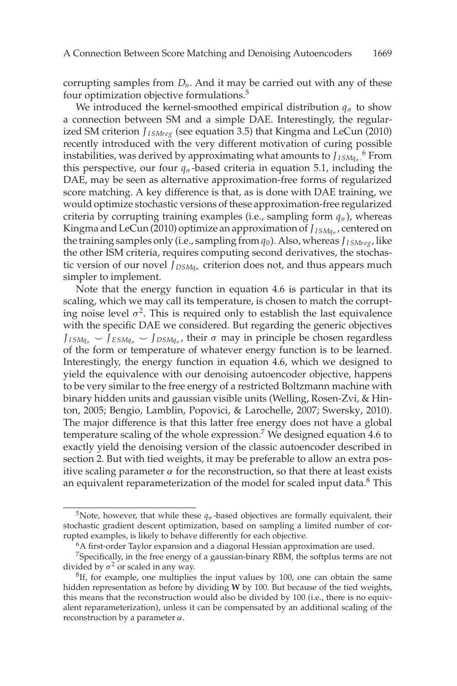corrupting samples from  $D_n$ . And it may be carried out with any of these four optimization objective formulations.<sup>5</sup>

We introduced the kernel-smoothed empirical distribution  $q_{\sigma}$  to show a connection between SM and a simple DAE. Interestingly, the regularized SM criterion *J<sub>ISMreg</sub>* (see equation 3.5) that Kingma and LeCun (2010) recently introduced with the very different motivation of curing possible instabilities, was derived by approximating what amounts to  $J_{ISMq_{\sigma}}$   $^6$  From this perspective, our four  $q_{\sigma}$ -based criteria in equation 5.1, including the DAE, may be seen as alternative approximation-free forms of regularized score matching. A key difference is that, as is done with DAE training, we would optimize stochastic versions of these approximation-free regularized criteria by corrupting training examples (i.e., sampling form  $q_{\sigma}$ ), whereas Kingma and LeCun (2010) optimize an approximation of  $J_{ISMq_{\sigma}}$  , centered on the training samples only (i.e., sampling from  $q_0$ ). Also, whereas  $J_{ISMrec}$ , like the other ISM criteria, requires computing second derivatives, the stochastic version of our novel *J*<sub>DSMq<sub>σ</sub></sub> criterion does not, and thus appears much simpler to implement.

Note that the energy function in equation 4.6 is particular in that its scaling, which we may call its temperature, is chosen to match the corrupting noise level  $\sigma^2$ . This is required only to establish the last equivalence with the specific DAE we considered. But regarding the generic objectives  $J_{ISMq_{\sigma}} \smile J_{ESMq_{\sigma}} \smile J_{DSMq_{\sigma}}$ , their  $\sigma$  may in principle be chosen regardless of the form or temperature of whatever energy function is to be learned. Interestingly, the energy function in equation 4.6, which we designed to yield the equivalence with our denoising autoencoder objective, happens to be very similar to the free energy of a restricted Boltzmann machine with binary hidden units and gaussian visible units (Welling, Rosen-Zvi, & Hinton, 2005; Bengio, Lamblin, Popovici, & Larochelle, 2007; Swersky, 2010). The major difference is that this latter free energy does not have a global temperature scaling of the whole expression.<sup>7</sup> We designed equation 4.6 to exactly yield the denoising version of the classic autoencoder described in section 2. But with tied weights, it may be preferable to allow an extra positive scaling parameter  $\alpha$  for the reconstruction, so that there at least exists an equivalent reparameterization of the model for scaled input data. $8$  This

<sup>&</sup>lt;sup>5</sup>Note, however, that while these  $q_{\sigma}$ -based objectives are formally equivalent, their stochastic gradient descent optimization, based on sampling a limited number of corrupted examples, is likely to behave differently for each objective.

<sup>&</sup>lt;sup>6</sup>A first-order Taylor expansion and a diagonal Hessian approximation are used.

 $7$ Specifically, in the free energy of a gaussian-binary RBM, the softplus terms are not divided by  $\sigma^2$  or scaled in any way.

<sup>&</sup>lt;sup>8</sup>If, for example, one multiplies the input values by 100, one can obtain the same hidden representation as before by dividing **W** by 100. But because of the tied weights, this means that the reconstruction would also be divided by 100 (i.e., there is no equivalent reparameterization), unless it can be compensated by an additional scaling of the reconstruction by a parameter  $\alpha$ .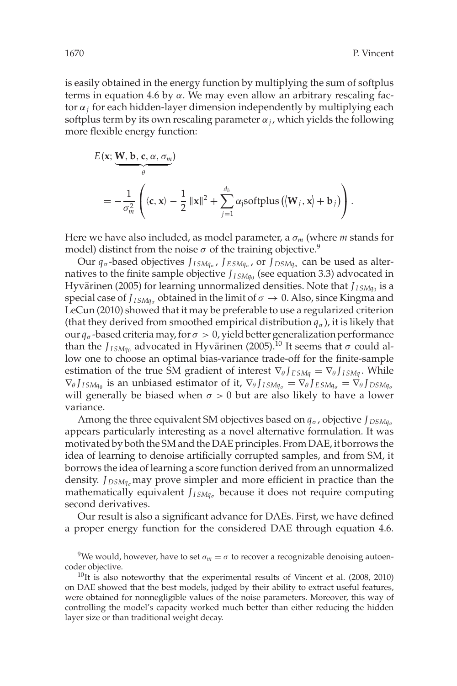is easily obtained in the energy function by multiplying the sum of softplus terms in equation 4.6 by α. We may even allow an arbitrary rescaling factor α*<sup>j</sup>* for each hidden-layer dimension independently by multiplying each softplus term by its own rescaling parameter  $\alpha_j$ , which yields the following more flexible energy function:

$$
E(\mathbf{x}; \underbrace{\mathbf{W}, \mathbf{b}, \mathbf{c}, \alpha, \sigma_m}_{\theta})
$$
\n
$$
= -\frac{1}{\sigma_m^2} \left( \langle \mathbf{c}, \mathbf{x} \rangle - \frac{1}{2} ||\mathbf{x}||^2 + \sum_{j=1}^{d_h} \alpha_j \text{softplus} \left( \langle \mathbf{W}_j, \mathbf{x} \rangle + \mathbf{b}_j \right) \right).
$$

Here we have also included, as model parameter, a  $\sigma_m$  (where *m* stands for model) distinct from the noise  $\sigma$  of the training objective.<sup>9</sup>

Our  $q_{\sigma}$ -based objectives *J*<sub>*ISMq<sub>σ</sub></sub>, <i>J*<sub>ESMqσ</sub>, or *J*<sub>DSMqσ</sub> can be used as alter-</sub> natives to the finite sample objective  $J_{ISMq_0}$  (see equation 3.3) advocated in Hyvärinen (2005) for learning unnormalized densities. Note that  $J_{\emph{ISMq}_0}$  is a special case of  $J_{ISMq_{\sigma}}$  obtained in the limit of  $\sigma \rightarrow 0$ . Also, since Kingma and LeCun (2010) showed that it may be preferable to use a regularized criterion (that they derived from smoothed empirical distribution  $q_{\sigma}$ ), it is likely that our  $q_\sigma$ -based criteria may, for  $\sigma > 0$ , yield better generalization performance than the  $J_{ISMq_0}$  advocated in Hyvärinen (2005).<sup>10</sup> It seems that  $\sigma$  could allow one to choose an optimal bias-variance trade-off for the finite-sample estimation of the true SM gradient of interest  $\nabla_{\theta} J_{ESMa} = \nabla_{\theta} J_{ISMa}$ . While  $\nabla_{\theta} J_{ISMq_0}$  is an unbiased estimator of it,  $\nabla_{\theta} J_{ISMq_0} = \nabla_{\theta} J_{ESMq_0} = \nabla_{\theta} J_{DSMq_0}$ will generally be biased when  $\sigma > 0$  but are also likely to have a lower variance.

Among the three equivalent SM objectives based on  $q_{\sigma}$ , objective  $J_{DSMq_{\sigma}}$ appears particularly interesting as a novel alternative formulation. It was motivated by both the SM and the DAE principles. From DAE, it borrows the idea of learning to denoise artificially corrupted samples, and from SM, it borrows the idea of learning a score function derived from an unnormalized density. *J*<sub>DSMq<sub>σ</sub> may prove simpler and more efficient in practice than the</sub> mathematically equivalent *J*<sub>*ISMq<sub>σ</sub>* because it does not require computing</sub> second derivatives.

Our result is also a significant advance for DAEs. First, we have defined a proper energy function for the considered DAE through equation 4.6.

<sup>&</sup>lt;sup>9</sup>We would, however, have to set  $\sigma_m = \sigma$  to recover a recognizable denoising autoencoder objective.

 $10$ It is also noteworthy that the experimental results of Vincent et al. (2008, 2010) on DAE showed that the best models, judged by their ability to extract useful features, were obtained for nonnegligible values of the noise parameters. Moreover, this way of controlling the model's capacity worked much better than either reducing the hidden layer size or than traditional weight decay.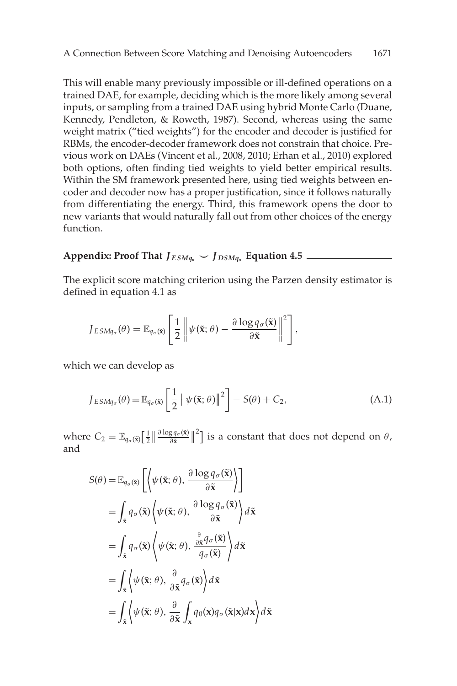This will enable many previously impossible or ill-defined operations on a trained DAE, for example, deciding which is the more likely among several inputs, or sampling from a trained DAE using hybrid Monte Carlo (Duane, Kennedy, Pendleton, & Roweth, 1987). Second, whereas using the same weight matrix ("tied weights") for the encoder and decoder is justified for RBMs, the encoder-decoder framework does not constrain that choice. Previous work on DAEs (Vincent et al., 2008, 2010; Erhan et al., 2010) explored both options, often finding tied weights to yield better empirical results. Within the SM framework presented here, using tied weights between encoder and decoder now has a proper justification, since it follows naturally from differentiating the energy. Third, this framework opens the door to new variants that would naturally fall out from other choices of the energy function.

### **Appendix: Proof That**  $J_{ESMq_{\sigma}} \sim J_{DSMq_{\sigma}}$  **Equation 4.5**  $\_\_$

The explicit score matching criterion using the Parzen density estimator is defined in equation 4.1 as

$$
J_{ESMq_{\sigma}}(\theta) = \mathbb{E}_{q_{\sigma}(\tilde{\mathbf{x}})}\left[\frac{1}{2}\left\|\psi(\tilde{\mathbf{x}};\theta) - \frac{\partial \log q_{\sigma}(\tilde{\mathbf{x}})}{\partial \tilde{\mathbf{x}}}\right\|^2\right],
$$

which we can develop as

$$
J_{ESMq_{\sigma}}(\theta) = \mathbb{E}_{q_{\sigma}(\tilde{\mathbf{x}})} \left[ \frac{1}{2} \left\| \psi(\tilde{\mathbf{x}}; \theta) \right\|^2 \right] - S(\theta) + C_2, \tag{A.1}
$$

where  $C_2 = \mathbb{E}_{q_\sigma(\tilde{\mathbf{x}})} \left[ \frac{1}{2} \right] \frac{\partial \log q_\sigma(\tilde{\mathbf{x}})}{\partial \tilde{\mathbf{x}}} \right]^2$  is a constant that does not depend on  $\theta$ , and

$$
S(\theta) = \mathbb{E}_{q_{\sigma}(\tilde{\mathbf{x}})} \left[ \left\langle \psi(\tilde{\mathbf{x}}; \theta), \frac{\partial \log q_{\sigma}(\tilde{\mathbf{x}})}{\partial \tilde{\mathbf{x}}} \right\rangle \right]
$$
  
\n
$$
= \int_{\tilde{\mathbf{x}}} q_{\sigma}(\tilde{\mathbf{x}}) \left\langle \psi(\tilde{\mathbf{x}}; \theta), \frac{\partial \log q_{\sigma}(\tilde{\mathbf{x}})}{\partial \tilde{\mathbf{x}}} \right\rangle d\tilde{\mathbf{x}}
$$
  
\n
$$
= \int_{\tilde{\mathbf{x}}} q_{\sigma}(\tilde{\mathbf{x}}) \left\langle \psi(\tilde{\mathbf{x}}; \theta), \frac{\frac{\partial}{\partial \tilde{\mathbf{x}}} q_{\sigma}(\tilde{\mathbf{x}})}{q_{\sigma}(\tilde{\mathbf{x}})} \right\rangle d\tilde{\mathbf{x}}
$$
  
\n
$$
= \int_{\tilde{\mathbf{x}}} \left\langle \psi(\tilde{\mathbf{x}}; \theta), \frac{\partial}{\partial \tilde{\mathbf{x}}} q_{\sigma}(\tilde{\mathbf{x}}) \right\rangle d\tilde{\mathbf{x}}
$$
  
\n
$$
= \int_{\tilde{\mathbf{x}}} \left\langle \psi(\tilde{\mathbf{x}}; \theta), \frac{\partial}{\partial \tilde{\mathbf{x}}} \int_{\mathbf{x}} q_0(\mathbf{x}) q_{\sigma}(\tilde{\mathbf{x}} | \mathbf{x}) d\mathbf{x} \right\rangle d\tilde{\mathbf{x}}
$$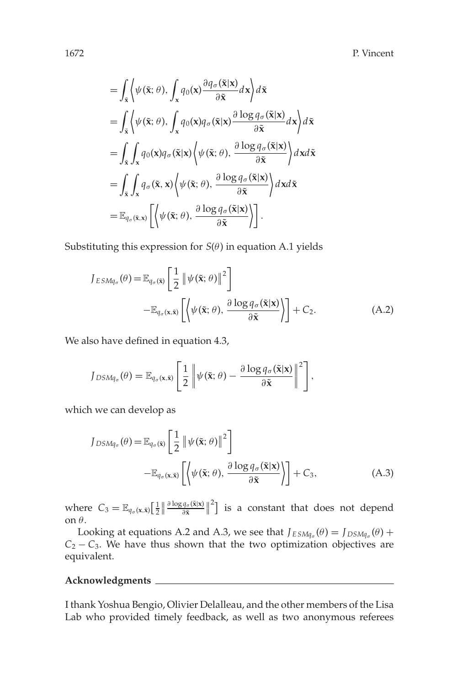1672 P. Vincent

$$
\begin{split}\n&= \int_{\tilde{\mathbf{x}}} \left\langle \psi(\tilde{\mathbf{x}}; \theta), \int_{\mathbf{x}} q_0(\mathbf{x}) \frac{\partial q_\sigma(\tilde{\mathbf{x}}|\mathbf{x})}{\partial \tilde{\mathbf{x}}} d\mathbf{x} \right\rangle d\tilde{\mathbf{x}} \\
&= \int_{\tilde{\mathbf{x}}} \left\langle \psi(\tilde{\mathbf{x}}; \theta), \int_{\mathbf{x}} q_0(\mathbf{x}) q_\sigma(\tilde{\mathbf{x}}|\mathbf{x}) \frac{\partial \log q_\sigma(\tilde{\mathbf{x}}|\mathbf{x})}{\partial \tilde{\mathbf{x}}} d\mathbf{x} \right\rangle d\tilde{\mathbf{x}} \\
&= \int_{\tilde{\mathbf{x}}} \int_{\mathbf{x}} q_0(\mathbf{x}) q_\sigma(\tilde{\mathbf{x}}|\mathbf{x}) \left\langle \psi(\tilde{\mathbf{x}}; \theta), \frac{\partial \log q_\sigma(\tilde{\mathbf{x}}|\mathbf{x})}{\partial \tilde{\mathbf{x}}} \right\rangle d\mathbf{x} d\tilde{\mathbf{x}} \\
&= \int_{\tilde{\mathbf{x}}} \int_{\mathbf{x}} q_\sigma(\tilde{\mathbf{x}}, \mathbf{x}) \left\langle \psi(\tilde{\mathbf{x}}; \theta), \frac{\partial \log q_\sigma(\tilde{\mathbf{x}}|\mathbf{x})}{\partial \tilde{\mathbf{x}}} \right\rangle d\mathbf{x} d\tilde{\mathbf{x}} \\
&= \mathbb{E}_{q_\sigma(\tilde{\mathbf{x}}, \mathbf{x})} \left[ \left\langle \psi(\tilde{\mathbf{x}}; \theta), \frac{\partial \log q_\sigma(\tilde{\mathbf{x}}|\mathbf{x})}{\partial \tilde{\mathbf{x}}} \right\rangle \right].\n\end{split}
$$

Substituting this expression for  $S(\theta)$  in equation A.1 yields

$$
J_{ESMq_{\sigma}}(\theta) = \mathbb{E}_{q_{\sigma}(\tilde{\mathbf{x}})} \left[ \frac{1}{2} \left\| \psi(\tilde{\mathbf{x}}; \theta) \right\|^2 \right]
$$

$$
-\mathbb{E}_{q_{\sigma}(\mathbf{x}, \tilde{\mathbf{x}})} \left[ \left\langle \psi(\tilde{\mathbf{x}}; \theta), \frac{\partial \log q_{\sigma}(\tilde{\mathbf{x}}|\mathbf{x})}{\partial \tilde{\mathbf{x}}} \right\rangle \right] + C_2.
$$
(A.2)

We also have defined in equation 4.3,

$$
J_{DSMq_{\sigma}}(\theta) = \mathbb{E}_{q_{\sigma}(\mathbf{x}, \tilde{\mathbf{x}})}\left[\frac{1}{2} \left\|\psi(\tilde{\mathbf{x}}; \theta) - \frac{\partial \log q_{\sigma}(\tilde{\mathbf{x}}|\mathbf{x})}{\partial \tilde{\mathbf{x}}}\right\|^2\right],
$$

which we can develop as

$$
J_{DSMq_{\sigma}}(\theta) = \mathbb{E}_{q_{\sigma}(\tilde{\mathbf{x}})} \left[ \frac{1}{2} \left\| \psi(\tilde{\mathbf{x}}; \theta) \right\|^2 \right]
$$

$$
- \mathbb{E}_{q_{\sigma}(\mathbf{x}, \tilde{\mathbf{x}})} \left[ \left\langle \psi(\tilde{\mathbf{x}}; \theta), \frac{\partial \log q_{\sigma}(\tilde{\mathbf{x}}|\mathbf{x})}{\partial \tilde{\mathbf{x}}} \right\rangle \right] + C_3, \tag{A.3}
$$

where  $C_3 = \mathbb{E}_{q_\sigma(\mathbf{x},\tilde{\mathbf{x}})} \Big[\frac{1}{2} \Big| \frac{\partial \log q_\sigma(\tilde{\mathbf{x}}|\mathbf{x})}{\partial \tilde{\mathbf{x}}} \Big|^2 \Big]$  is a constant that does not depend on θ.

Looking at equations A.2 and A.3, we see that  $J_{ESMq_{\sigma}}(\theta) = J_{DSMq_{\sigma}}(\theta) +$  $C_2 - C_3$ . We have thus shown that the two optimization objectives are equivalent.

#### **Acknowledgments**

I thank Yoshua Bengio, Olivier Delalleau, and the other members of the Lisa Lab who provided timely feedback, as well as two anonymous referees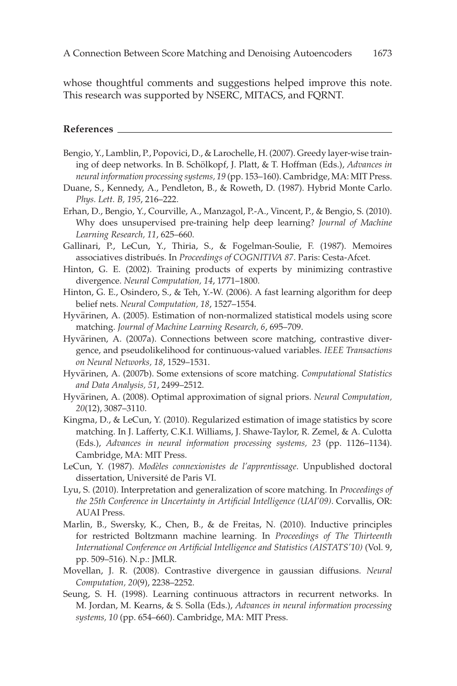whose thoughtful comments and suggestions helped improve this note. This research was supported by NSERC, MITACS, and FQRNT.

#### **References**

- Bengio, Y., Lamblin, P., Popovici, D., & Larochelle, H. (2007). Greedy layer-wise training of deep networks. In B. Schölkopf, J. Platt, & T. Hoffman (Eds.), Advances in *neural information processing systems, 19* (pp. 153–160). Cambridge, MA: MIT Press.
- Duane, S., Kennedy, A., Pendleton, B., & Roweth, D. (1987). Hybrid Monte Carlo. *Phys. Lett. B, 195*, 216–222.
- Erhan, D., Bengio, Y., Courville, A., Manzagol, P.-A., Vincent, P., & Bengio, S. (2010). Why does unsupervised pre-training help deep learning? *Journal of Machine Learning Research, 11*, 625–660.
- Gallinari, P., LeCun, Y., Thiria, S., & Fogelman-Soulie, F. (1987). Memoires associatives distribués. In *Proceedings of COGNITIVA 87*. Paris: Cesta-Afcet.
- Hinton, G. E. (2002). Training products of experts by minimizing contrastive divergence. *Neural Computation, 14*, 1771–1800.
- Hinton, G. E., Osindero, S., & Teh, Y.-W. (2006). A fast learning algorithm for deep belief nets. *Neural Computation, 18*, 1527–1554.
- Hyvärinen, A. (2005). Estimation of non-normalized statistical models using score matching. *Journal of Machine Learning Research, 6*, 695–709.
- Hyvärinen, A. (2007a). Connections between score matching, contrastive divergence, and pseudolikelihood for continuous-valued variables. *IEEE Transactions on Neural Networks, 18*, 1529–1531.
- Hyvärinen, A. (2007b). Some extensions of score matching. Computational Statistics *and Data Analysis, 51*, 2499–2512.
- Hyvärinen, A. (2008). Optimal approximation of signal priors. Neural Computation, *20*(12), 3087–3110.
- Kingma, D., & LeCun, Y. (2010). Regularized estimation of image statistics by score matching. In J. Lafferty, C.K.I. Williams, J. Shawe-Taylor, R. Zemel, & A. Culotta (Eds.), *Advances in neural information processing systems, 23* (pp. 1126–1134). Cambridge, MA: MIT Press.
- LeCun, Y. (1987). *Modèles connexionistes de l'apprentissage*. Unpublished doctoral dissertation, Université de Paris VI.
- Lyu, S. (2010). Interpretation and generalization of score matching. In *Proceedings of the 25th Conference in Uncertainty in Artificial Intelligence (UAI'09)*. Corvallis, OR: AUAI Press.
- Marlin, B., Swersky, K., Chen, B., & de Freitas, N. (2010). Inductive principles for restricted Boltzmann machine learning. In *Proceedings of The Thirteenth International Conference on Artificial Intelligence and Statistics (AISTATS'10)* (Vol. 9, pp. 509–516). N.p.: JMLR.
- Movellan, J. R. (2008). Contrastive divergence in gaussian diffusions. *Neural Computation, 20*(9), 2238–2252.
- Seung, S. H. (1998). Learning continuous attractors in recurrent networks. In M. Jordan, M. Kearns, & S. Solla (Eds.), *Advances in neural information processing systems, 10* (pp. 654–660). Cambridge, MA: MIT Press.